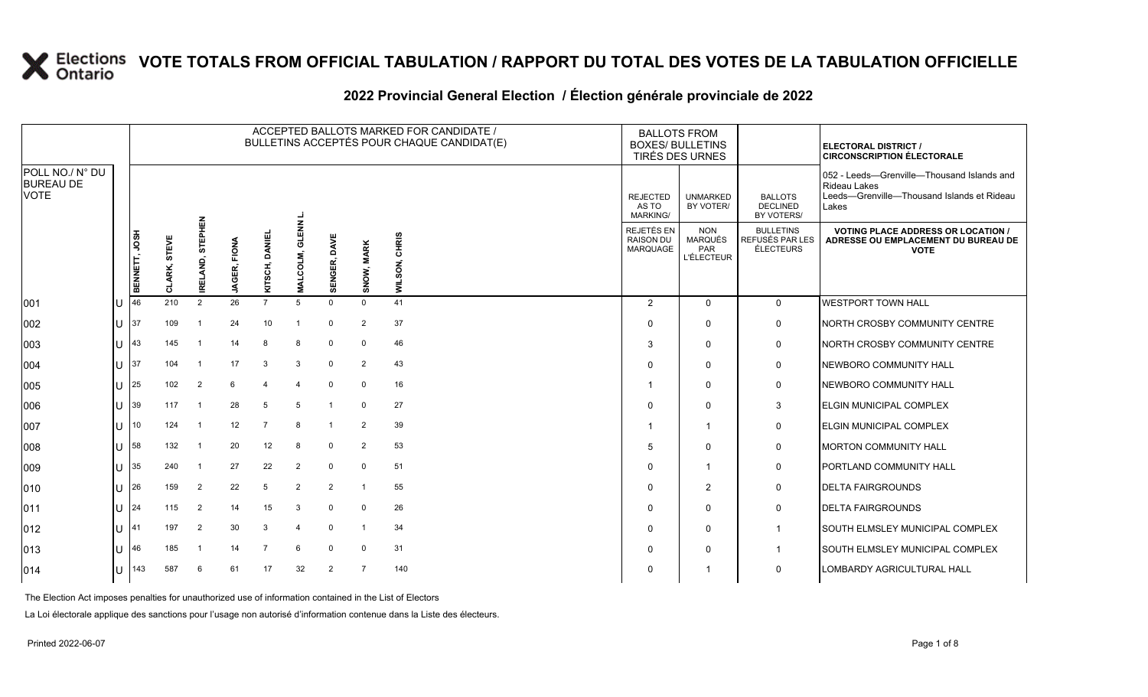#### **2022 Provincial General Election / Élection générale provinciale de 2022**

|                                                    |   |               |                 |                     |                        |                   |                               |                        |                         | ACCEPTED BALLOTS MARKED FOR CANDIDATE /<br>BULLETINS ACCEPTÉS POUR CHAQUE CANDIDAT(E) | <b>BALLOTS FROM</b><br><b>BOXES/ BULLETINS</b><br>TIRÉS DES URNES |                                             |                                                          |                                                  | <b>ELECTORAL DISTRICT /</b><br><b>CIRCONSCRIPTION ÉLECTORALE</b>                                                         |
|----------------------------------------------------|---|---------------|-----------------|---------------------|------------------------|-------------------|-------------------------------|------------------------|-------------------------|---------------------------------------------------------------------------------------|-------------------------------------------------------------------|---------------------------------------------|----------------------------------------------------------|--------------------------------------------------|--------------------------------------------------------------------------------------------------------------------------|
| POLL NO./ N° DU<br><b>BUREAU DE</b><br><b>VOTE</b> |   |               |                 |                     |                        |                   |                               |                        |                         |                                                                                       |                                                                   | <b>REJECTED</b><br>AS TO<br><b>MARKING/</b> | <b>UNMARKED</b><br>BY VOTER/                             | <b>BALLOTS</b><br><b>DECLINED</b><br>BY VOTERS/  | 052 - Leeds-Grenville-Thousand Islands and<br><b>Rideau Lakes</b><br>Leeds-Grenville-Thousand Islands et Rideau<br>Lakes |
|                                                    |   | BENNETT, JOSH | STEVE<br>CLARK, | STEPHEN<br>IRELAND, | FIONA<br><b>JAGER,</b> | 画<br>KITSCH, DANI | ؏<br>ಕ<br>COLM,<br><b>NAL</b> | <b>DAVE</b><br>SENGER, | SNOW, MARK              | <b>CHRIS</b><br>WILSON,                                                               |                                                                   | REJETÉS EN<br><b>RAISON DU</b><br>MARQUAGE  | <b>NON</b><br><b>MARQUÉS</b><br>PAR<br><b>L'ÉLECTEUR</b> | <b>BULLETINS</b><br>REFUSÉS PAR LES<br>ÉLECTEURS | <b>VOTING PLACE ADDRESS OR LOCATION /</b><br>ADRESSE OU EMPLACEMENT DU BUREAU DE<br><b>VOTE</b>                          |
| 001                                                |   | 46            | 210             | $\overline{2}$      | 26                     | $\overline{7}$    | 5                             | $\Omega$               | $\mathbf 0$             | 41                                                                                    |                                                                   | 2                                           | $\Omega$                                                 | $\Omega$                                         | <b>WESTPORT TOWN HALL</b>                                                                                                |
| 002                                                | U | 37            | 109             |                     | 24                     | 10                | -1                            | $\Omega$               | 2                       | 37                                                                                    |                                                                   | <sup>0</sup>                                | $\Omega$                                                 | $\mathbf 0$                                      | NORTH CROSBY COMMUNITY CENTRE                                                                                            |
| 003                                                | U | 43            | 145             |                     | 14                     | 8                 | -8                            | $\Omega$               | $\Omega$                | 46                                                                                    |                                                                   | 3                                           | $\mathbf 0$                                              | $\mathbf 0$                                      | NORTH CROSBY COMMUNITY CENTRE                                                                                            |
| 004                                                | U | 37            | 104             | -1                  | 17                     | -3                | 3                             | $\mathbf 0$            | 2                       | 43                                                                                    |                                                                   | ∩                                           | $\Omega$                                                 | $\mathsf{O}$                                     | NEWBORO COMMUNITY HALL                                                                                                   |
| 005                                                | U | 25            | 102             | $\overline{2}$      | 6                      | $\overline{4}$    | $\overline{4}$                | $\mathbf 0$            | $\mathbf 0$             | 16                                                                                    |                                                                   |                                             | $\Omega$                                                 | $\mathsf{O}$                                     | NEWBORO COMMUNITY HALL                                                                                                   |
| 006                                                | U | 39            | 117             |                     | 28                     | 5                 | 5                             |                        | $\Omega$                | 27                                                                                    |                                                                   |                                             | $\Omega$                                                 | 3                                                | ELGIN MUNICIPAL COMPLEX                                                                                                  |
| 007                                                | U | 10            | 124             | -1                  | 12                     | $\overline{7}$    | 8                             | -1                     | 2                       | 39                                                                                    |                                                                   |                                             | -1                                                       | $\mathsf{O}$                                     | <b>ELGIN MUNICIPAL COMPLEX</b>                                                                                           |
| 008                                                | U | 58            | 132             |                     | 20                     | 12                | 8                             | $\mathbf 0$            | 2                       | 53                                                                                    |                                                                   | 5                                           | $\Omega$                                                 | 0                                                | <b>MORTON COMMUNITY HALL</b>                                                                                             |
| 009                                                | U | 35            | 240             |                     | 27                     | 22                | 2                             | $\mathbf 0$            | $\mathbf 0$             | 51                                                                                    |                                                                   | $\Omega$                                    | $\overline{\mathbf{1}}$                                  | $\mathbf 0$                                      | PORTLAND COMMUNITY HALL                                                                                                  |
| 010                                                | U | 26            | 159             | $\overline{2}$      | 22                     | 5                 | 2                             | 2                      | $\overline{\mathbf{1}}$ | 55                                                                                    |                                                                   | $\Omega$                                    | $\overline{2}$                                           | $\mathbf 0$                                      | <b>DELTA FAIRGROUNDS</b>                                                                                                 |
| 011                                                | U | 24            | 115             | 2                   | 14                     | 15                | 3                             | $\Omega$               | $\mathbf 0$             | 26                                                                                    |                                                                   | <sup>0</sup>                                | $\Omega$                                                 | 0                                                | <b>DELTA FAIRGROUNDS</b>                                                                                                 |
| 012                                                | U | 41            | 197             | 2                   | 30                     | 3                 | 4                             | $\Omega$               |                         | 34                                                                                    |                                                                   | $\Omega$                                    | $\mathbf 0$                                              | $\mathbf{1}$                                     | SOUTH ELMSLEY MUNICIPAL COMPLEX                                                                                          |
| 013                                                | U | 46            | 185             | -1                  | 14                     | $\overline{7}$    | 6                             | $\Omega$               | $\mathbf 0$             | 31                                                                                    |                                                                   |                                             | $\Omega$                                                 | $\overline{1}$                                   | <b>SOUTH ELMSLEY MUNICIPAL COMPLEX</b>                                                                                   |
| 014                                                | U | 143           | 587             | 6                   | 61                     | 17                | 32                            | 2                      | $\overline{7}$          | 140                                                                                   |                                                                   |                                             |                                                          | 0                                                | LOMBARDY AGRICULTURAL HALL                                                                                               |

The Election Act imposes penalties for unauthorized use of information contained in the List of Electors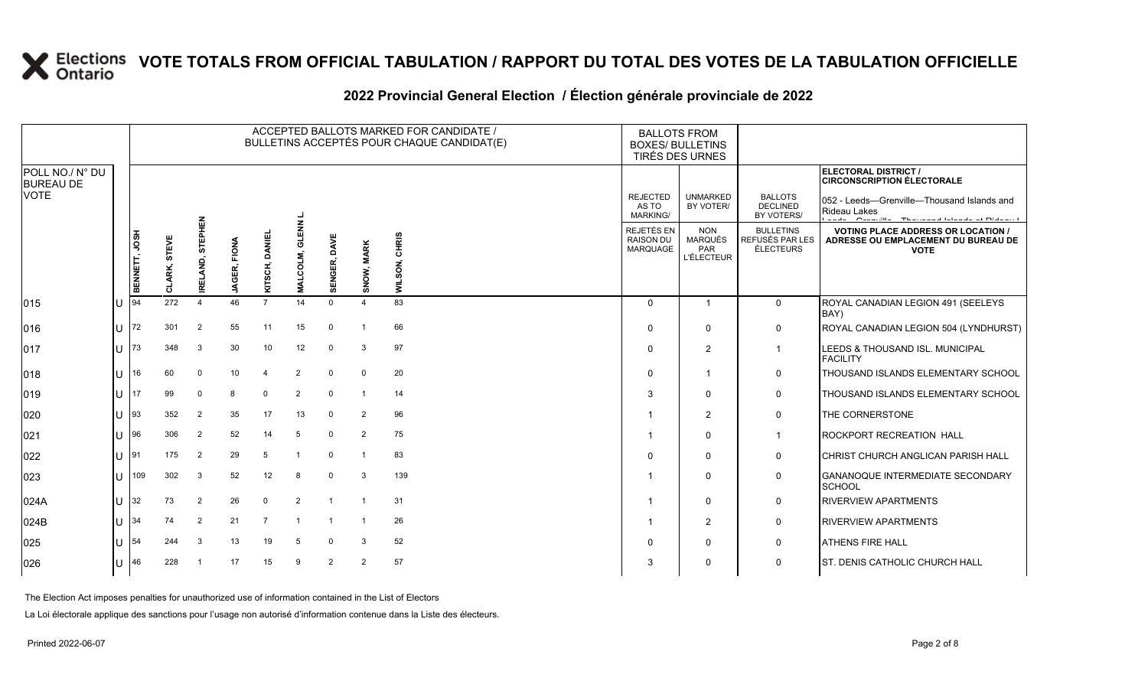#### **2022 Provincial General Election / Élection générale provinciale de 2022**

|                                     |              | ACCEPTED BALLOTS MARKED FOR CANDIDATE /<br>BULLETINS ACCEPTÉS POUR CHAQUE CANDIDAT(E) |                 |                           |                 |                |                           |                 |                |                         | <b>BALLOTS FROM</b><br><b>BOXES/ BULLETINS</b><br>TIRÉS DES URNES |                                             |                                                   |                                                  |                                                                                                               |
|-------------------------------------|--------------|---------------------------------------------------------------------------------------|-----------------|---------------------------|-----------------|----------------|---------------------------|-----------------|----------------|-------------------------|-------------------------------------------------------------------|---------------------------------------------|---------------------------------------------------|--------------------------------------------------|---------------------------------------------------------------------------------------------------------------|
| POLL NO./ N° DU<br><b>BUREAU DE</b> |              |                                                                                       |                 |                           |                 |                |                           |                 |                |                         |                                                                   |                                             |                                                   |                                                  | <b>ELECTORAL DISTRICT /</b><br><b>CIRCONSCRIPTION ÉLECTORALE</b>                                              |
| <b>VOTE</b>                         |              |                                                                                       |                 | 몺                         |                 |                |                           |                 |                |                         |                                                                   | <b>REJECTED</b><br>AS TO<br><b>MARKING/</b> | <b>UNMARKED</b><br>BY VOTER/                      | <b>BALLOTS</b><br><b>DECLINED</b><br>BY VOTERS/  | 052 - Leeds-Grenville-Thousand Islands and<br><b>Rideau Lakes</b><br>and American Thomas distance of Bidewith |
|                                     |              | BENNETT, JOSH                                                                         | STEVE<br>CLARK, | <b>STEPHE</b><br>IRELAND, | FIONA<br>GER,   | SCH, DANI      | $rac{z}{4}$<br>ಕ<br>COLM, | DAVE<br>SENGER, | SNOW, MARK     | <b>CHRIS</b><br>WILSON, |                                                                   | REJETÉS EN<br><b>RAISON DU</b><br>MARQUAGE  | <b>NON</b><br>MARQUÉS<br>PAR<br><b>L'ÉLECTEUR</b> | <b>BULLETINS</b><br>REFUSÉS PAR LES<br>ÉLECTEURS | <b>VOTING PLACE ADDRESS OR LOCATION /</b><br>ADRESSE OU EMPLACEMENT DU BUREAU DE<br><b>VOTE</b>               |
|                                     |              |                                                                                       |                 |                           | ₹               | 즢              | Ξ.                        |                 |                |                         |                                                                   |                                             |                                                   |                                                  |                                                                                                               |
| 015                                 | IU           | 94                                                                                    | 272             | $\Delta$                  | 46              | $\overline{7}$ | 14                        | $\Omega$        |                | 83                      |                                                                   | $\Omega$                                    | $\mathbf{1}$                                      | $\mathbf{0}$                                     | ROYAL CANADIAN LEGION 491 (SEELEYS<br>BAY)                                                                    |
| 016                                 | lU           | 72                                                                                    | 301             | $\overline{2}$            | 55              | 11             | 15                        | $\Omega$        |                | 66                      |                                                                   | $\Omega$                                    | $\Omega$                                          | $\mathbf 0$                                      | ROYAL CANADIAN LEGION 504 (LYNDHURST)                                                                         |
| 017                                 | ΙUΞ          | 173                                                                                   | 348             | 3                         | 30              | 10             | 12                        | 0               | 3              | 97                      |                                                                   | $\Omega$                                    | $\overline{2}$                                    | $\mathbf{1}$                                     | LEEDS & THOUSAND ISL. MUNICIPAL<br><b>FACILITY</b>                                                            |
| 018                                 | lU           | 16                                                                                    | 60              | $\Omega$                  | 10 <sup>°</sup> | $\overline{4}$ | 2                         | $\Omega$        | $\Omega$       | 20                      |                                                                   | $\Omega$                                    | -1                                                | $\mathbf 0$                                      | THOUSAND ISLANDS ELEMENTARY SCHOOL                                                                            |
| 019                                 | lU           | 17                                                                                    | 99              | $\Omega$                  | 8               | $\Omega$       | $\overline{2}$            | $\mathbf 0$     |                | 14                      |                                                                   | 3                                           | $\Omega$                                          | $\mathbf 0$                                      | THOUSAND ISLANDS ELEMENTARY SCHOOL                                                                            |
| 020                                 | ΠT           | $\vert$ 93                                                                            | 352             | 2                         | 35              | 17             | 13                        | $\Omega$        | $\overline{2}$ | 96                      |                                                                   |                                             | $\overline{2}$                                    | $\mathbf 0$                                      | THE CORNERSTONE                                                                                               |
| 021                                 | ΠT           | 196                                                                                   | 306             | $\overline{2}$            | 52              | 14             | 5                         | $\mathbf 0$     | 2              | 75                      |                                                                   |                                             | $\Omega$                                          | $\mathbf{1}$                                     | <b>ROCKPORT RECREATION HALL</b>                                                                               |
| 022                                 | U  91        |                                                                                       | 175             | 2                         | 29              | 5              |                           | $\mathbf{0}$    |                | 83                      |                                                                   | $\Omega$                                    | $\Omega$                                          | $\mathbf 0$                                      | CHRIST CHURCH ANGLICAN PARISH HALL                                                                            |
| 023                                 | IП           | 109                                                                                   | 302             | 3                         | 52              | 12             | 8                         | $\mathbf 0$     | 3              | 139                     |                                                                   | -1                                          | $\Omega$                                          | $\mathbf 0$                                      | <b>GANANOQUE INTERMEDIATE SECONDARY</b><br>SCHOOL                                                             |
| 024A                                | lU           | 32                                                                                    | 73              | 2                         | 26              | $\Omega$       | $\overline{2}$            | $\overline{1}$  |                | 31                      |                                                                   |                                             | $\mathbf{0}$                                      | 0                                                | <b>RIVERVIEW APARTMENTS</b>                                                                                   |
| 024B                                | lu-          | 34                                                                                    | 74              | $\overline{2}$            | 21              | $\overline{7}$ |                           |                 |                | 26                      |                                                                   | -1                                          | $\overline{2}$                                    | $\mathbf 0$                                      | <b>RIVERVIEW APARTMENTS</b>                                                                                   |
| 025                                 | $\bigcup$ 54 |                                                                                       | 244             | 3                         | 13              | 19             | -5                        | $\Omega$        | 3              | 52                      |                                                                   | $\Omega$                                    | $\Omega$                                          | 0                                                | <b>ATHENS FIRE HALL</b>                                                                                       |
| 026                                 | lU.          | 46                                                                                    | 228             |                           | 17              | 15             | 9                         | 2               | $\overline{2}$ | 57                      |                                                                   | 3                                           | $\Omega$                                          | $\mathbf 0$                                      | <b>ST. DENIS CATHOLIC CHURCH HALL</b>                                                                         |

The Election Act imposes penalties for unauthorized use of information contained in the List of Electors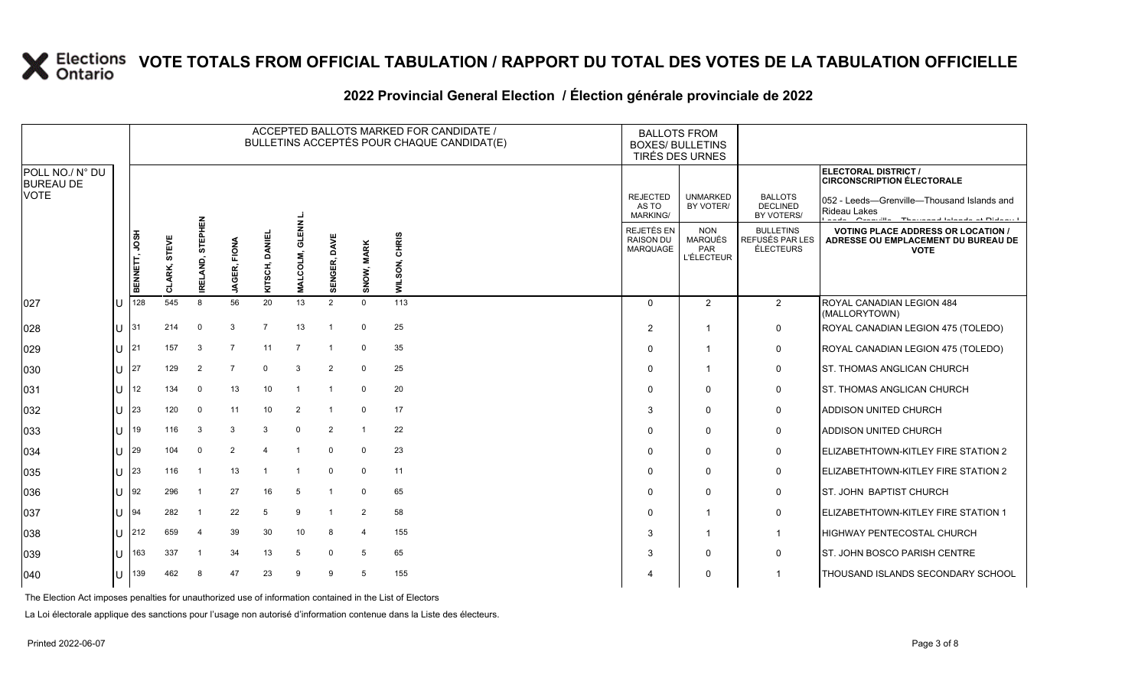#### **2022 Provincial General Election / Élection générale provinciale de 2022**

|                                     |    |               |                 |                          |                        |                     |                               |                     |             | ACCEPTED BALLOTS MARKED FOR CANDIDATE /<br>BULLETINS ACCEPTÉS POUR CHAQUE CANDIDAT(E) |                                             | <b>BALLOTS FROM</b><br><b>BOXES/ BULLETINS</b><br>TIRÉS DES URNES |                                                  |                                                                                                                   |
|-------------------------------------|----|---------------|-----------------|--------------------------|------------------------|---------------------|-------------------------------|---------------------|-------------|---------------------------------------------------------------------------------------|---------------------------------------------|-------------------------------------------------------------------|--------------------------------------------------|-------------------------------------------------------------------------------------------------------------------|
| POLL NO./ N° DU<br><b>BUREAU DE</b> |    |               |                 |                          |                        |                     |                               |                     |             |                                                                                       |                                             |                                                                   |                                                  | <b>ELECTORAL DISTRICT /</b><br><b>CIRCONSCRIPTION ÉLECTORALE</b>                                                  |
| <b>VOTE</b>                         |    |               |                 | 룹                        |                        |                     |                               |                     |             |                                                                                       | <b>REJECTED</b><br>AS TO<br><b>MARKING/</b> | <b>UNMARKED</b><br>BY VOTER/                                      | <b>BALLOTS</b><br><b>DECLINED</b><br>BY VOTERS/  | 052 - Leeds-Grenville-Thousand Islands and<br>Rideau Lakes<br>Andrew Committee Thomas and International Distances |
|                                     |    | BENNETT, JOSH | STEVE<br>CLARK, | <b>RHISS</b><br>IRELAND, | FIONA<br><b>JAGER,</b> | DANIEL<br>SCH,<br>Ĕ | <b>ENR</b><br>ਛ<br>COLM,<br>Σ | <b>SENGER, DAVE</b> | SNOW, MARK  | <b>CHRIS</b><br>WILSON,                                                               | REJETÉS EN<br><b>RAISON DU</b><br>MARQUAGE  | <b>NON</b><br>MARQUÉS<br><b>PAR</b><br><b>L'ÉLECTEUR</b>          | <b>BULLETINS</b><br>REFUSÉS PAR LES<br>ÉLECTEURS | <b>VOTING PLACE ADDRESS OR LOCATION /</b><br>ADRESSE OU EMPLACEMENT DU BUREAU DE<br><b>VOTE</b>                   |
| 027                                 | IU | 128           | 545             | 8                        | 56                     | 20                  | 13                            | $\overline{2}$      | $\mathbf 0$ | 113                                                                                   | $\Omega$                                    | $\overline{2}$                                                    | $\overline{2}$                                   | ROYAL CANADIAN LEGION 484<br>(MALLORYTOWN)                                                                        |
| 028                                 | ΠT | 31            | 214             | $\Omega$                 | -3                     | $\overline{7}$      | 13                            | $\overline{1}$      | $\mathbf 0$ | 25                                                                                    | $\overline{2}$                              |                                                                   | 0                                                | ROYAL CANADIAN LEGION 475 (TOLEDO)                                                                                |
| 029                                 | IП | 21            | 157             | 3                        | -7                     | 11                  |                               |                     | $\mathbf 0$ | 35                                                                                    | $\Omega$                                    |                                                                   | 0                                                | ROYAL CANADIAN LEGION 475 (TOLEDO)                                                                                |
| 030                                 | IU | 27            | 129             | $\overline{2}$           | $\overline{7}$         | $\mathbf 0$         | 3                             | 2                   | $\Omega$    | 25                                                                                    | 0                                           | -1                                                                | 0                                                | ST. THOMAS ANGLICAN CHURCH                                                                                        |
| 031                                 | ΠT | 12            | 134             | $\Omega$                 | 13                     | 10                  | $\mathbf{1}$                  | -1                  | $\Omega$    | 20                                                                                    | $\mathbf 0$                                 | $\Omega$                                                          | 0                                                | <b>ST. THOMAS ANGLICAN CHURCH</b>                                                                                 |
| 032                                 | IП | 23            | 120             | $\Omega$                 | 11                     | 10                  | 2                             | -1                  | $\mathbf 0$ | 17                                                                                    | 3                                           | $\Omega$                                                          | 0                                                | ADDISON UNITED CHURCH                                                                                             |
| 033                                 | ΙU | 19            | 116             | 3                        | 3                      | 3                   | $\Omega$                      | $\overline{2}$      |             | 22                                                                                    | $\mathbf 0$                                 | 0                                                                 | $\mathbf 0$                                      | ADDISON UNITED CHURCH                                                                                             |
| 034                                 | ΠT | 29            | 104             | $\Omega$                 | $\overline{2}$         | $\overline{a}$      |                               | $\mathbf{0}$        | $\Omega$    | 23                                                                                    | $\Omega$                                    | 0                                                                 | 0                                                | ELIZABETHTOWN-KITLEY FIRE STATION 2                                                                               |
| 035                                 | Ш  | 23            | 116             |                          | 13                     |                     |                               | $\Omega$            | $\mathbf 0$ | 11                                                                                    | $\mathbf 0$                                 | $\Omega$                                                          | 0                                                | ELIZABETHTOWN-KITLEY FIRE STATION 2                                                                               |
| 036                                 | IU | 92            | 296             | $\overline{\mathbf{1}}$  | 27                     | 16                  | 5                             |                     | $\Omega$    | 65                                                                                    | $\mathbf 0$                                 | $\mathbf{0}$                                                      | 0                                                | <b>I</b> ST. JOHN BAPTIST CHURCH                                                                                  |
| 037                                 | ПT | 94            | 282             |                          | 22                     | 5                   | 9                             | -1                  | 2           | 58                                                                                    | $\mathbf 0$                                 |                                                                   | 0                                                | <b>ELIZABETHTOWN-KITLEY FIRE STATION 1</b>                                                                        |
| 038                                 | ΠT | 212           | 659             | $\overline{4}$           | 39                     | 30                  | 10                            | 8                   | Δ           | 155                                                                                   | 3                                           |                                                                   | $\mathbf{1}$                                     | <b>HIGHWAY PENTECOSTAL CHURCH</b>                                                                                 |
| 039                                 | ΠT | 163           | 337             | $\overline{\mathbf{1}}$  | 34                     | 13                  | 5                             | 0                   | 5           | 65                                                                                    | 3                                           | $\mathbf{0}$                                                      | $\mathbf 0$                                      | ST. JOHN BOSCO PARISH CENTRE                                                                                      |
| $ 040\rangle$                       | IU | 139           | 462             | 8                        | 47                     | 23                  | 9                             | 9                   | 5           | 155                                                                                   |                                             | 0                                                                 |                                                  | THOUSAND ISLANDS SECONDARY SCHOOL                                                                                 |

The Election Act imposes penalties for unauthorized use of information contained in the List of Electors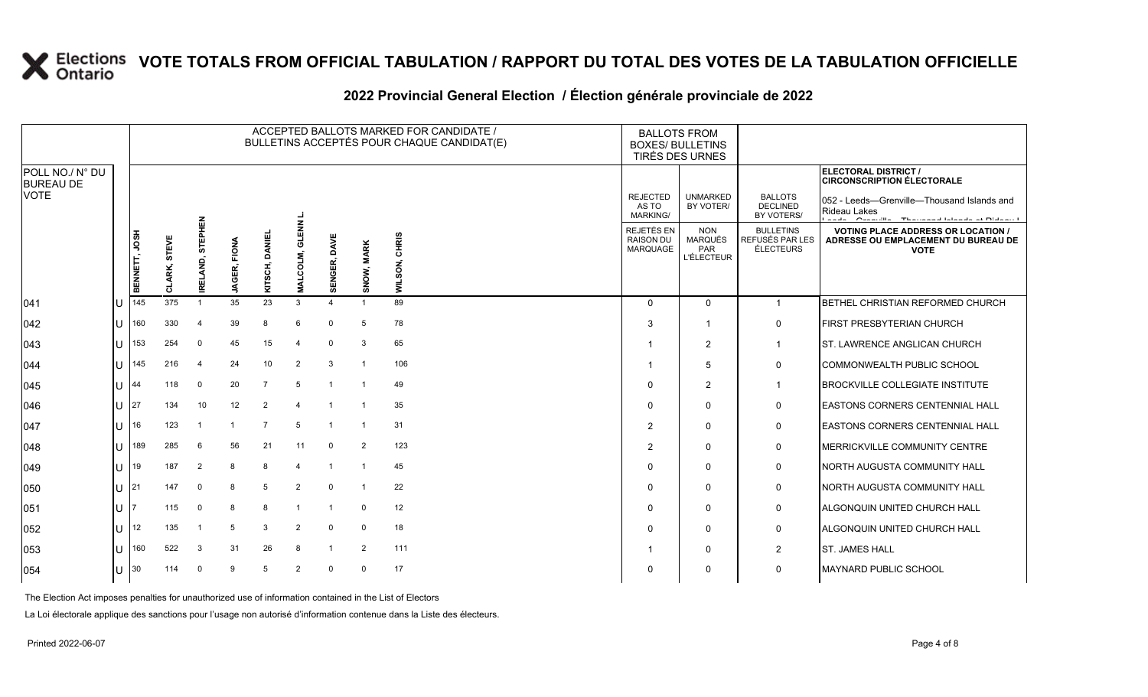#### **2022 Provincial General Election / Élection générale provinciale de 2022**

|                                     |      | ACCEPTED BALLOTS MARKED FOR CANDIDATE /<br>BULLETINS ACCEPTÉS POUR CHAQUE CANDIDAT(E) |                 |                           |                        |                |                                    |              |                         |                  | <b>BALLOTS FROM</b><br><b>BOXES/ BULLETINS</b><br>TIRÉS DES URNES |                                                          |                                                  |                                                                                                                   |
|-------------------------------------|------|---------------------------------------------------------------------------------------|-----------------|---------------------------|------------------------|----------------|------------------------------------|--------------|-------------------------|------------------|-------------------------------------------------------------------|----------------------------------------------------------|--------------------------------------------------|-------------------------------------------------------------------------------------------------------------------|
| POLL NO./ N° DU<br><b>BUREAU DE</b> |      |                                                                                       |                 |                           |                        |                |                                    |              |                         |                  |                                                                   |                                                          |                                                  | ELECTORAL DISTRICT /<br><b>CIRCONSCRIPTION ÉLECTORALE</b>                                                         |
| <b>VOTE</b>                         |      |                                                                                       |                 |                           |                        |                |                                    |              |                         |                  | <b>REJECTED</b><br>AS TO<br><b>MARKING/</b>                       | <b>UNMARKED</b><br>BY VOTER/                             | <b>BALLOTS</b><br><b>DECLINED</b><br>BY VOTERS/  | 052 - Leeds-Grenville-Thousand Islands and<br>Rideau Lakes<br>Concertibility of The concertaint in Explanation II |
|                                     |      | BENNETT, JOSH                                                                         | STEVE<br>CLARK, | STEPHEN<br><b>RELAND,</b> | FIONA<br><b>JAGER,</b> | KITSCH, DANIE  | ENN L.<br>ಕ<br>COLM,<br><b>NAL</b> | SENGER, DAVE | SNOW, MARK              | CHRIS<br>WILSON, | REJETÉS EN<br><b>RAISON DU</b><br>MARQUAGE                        | <b>NON</b><br><b>MARQUÉS</b><br>PAR<br><b>L'ÉLECTEUR</b> | <b>BULLETINS</b><br>REFUSÉS PAR LES<br>ÉLECTEURS | <b>VOTING PLACE ADDRESS OR LOCATION /</b><br>ADRESSE OU EMPLACEMENT DU BUREAU DE<br><b>VOTE</b>                   |
| 041                                 | 11 J | 145                                                                                   | 375             |                           | 35                     | 23             | 3                                  | $\Delta$     | $\overline{\mathbf{1}}$ | 89               | $\Omega$                                                          | $\Omega$                                                 | $\overline{1}$                                   | BETHEL CHRISTIAN REFORMED CHURCH                                                                                  |
| $ 042\rangle$                       | lU   | 160                                                                                   | 330             | 4                         | 39                     | 8              | -6                                 | $\Omega$     | 5                       | 78               | 3                                                                 | $\overline{\mathbf{1}}$                                  | $\mathbf 0$                                      | <b>FIRST PRESBYTERIAN CHURCH</b>                                                                                  |
| 043                                 | lU   | 153                                                                                   | 254             | $\Omega$                  | 45                     | 15             | 4                                  | $\Omega$     | 3                       | 65               |                                                                   | 2                                                        | $\overline{1}$                                   | <b>ST. LAWRENCE ANGLICAN CHURCH</b>                                                                               |
| 044                                 | IП   | 145                                                                                   | 216             | $\overline{4}$            | 24                     | 10             | $\overline{2}$                     | 3            | $\overline{\mathbf{1}}$ | 106              |                                                                   | 5                                                        | $\mathbf 0$                                      | COMMONWEALTH PUBLIC SCHOOL                                                                                        |
| $ 045\rangle$                       | ΙU   | 44                                                                                    | 118             | $\mathbf 0$               | 20                     | $\overline{7}$ | 5                                  |              |                         | 49               | $\Omega$                                                          | 2                                                        | -1                                               | <b>BROCKVILLE COLLEGIATE INSTITUTE</b>                                                                            |
| $ 046\rangle$                       | ΙU   | 27                                                                                    | 134             | 10                        | 12                     | $\overline{2}$ |                                    |              |                         | 35               | $\Omega$                                                          | $\Omega$                                                 | $\mathbf 0$                                      | <b>LEASTONS CORNERS CENTENNIAL HALL</b>                                                                           |
| $ 047\rangle$                       | Ш    | 16                                                                                    | 123             |                           | -1                     | 7              | 5                                  |              | -1                      | 31               | $\overline{2}$                                                    | $\mathbf 0$                                              | 0                                                | <b>EASTONS CORNERS CENTENNIAL HALL</b>                                                                            |
| 048                                 | lυ   | 189                                                                                   | 285             | 6                         | 56                     | 21             | 11                                 | $\mathbf 0$  | 2                       | 123              | $\overline{2}$                                                    | $\mathbf 0$                                              | $\mathbf 0$                                      | MERRICKVILLE COMMUNITY CENTRE                                                                                     |
| $ 049\rangle$                       | lu   | 19                                                                                    | 187             | $\overline{2}$            | 8                      | 8              |                                    |              |                         | 45               | $\Omega$                                                          | $\mathbf{0}$                                             | $\mathbf 0$                                      | NORTH AUGUSTA COMMUNITY HALL                                                                                      |
| 050                                 | Ш    | 21                                                                                    | 147             | $\mathbf 0$               | 8                      | 5              | 2                                  | $\Omega$     |                         | 22               | $\Omega$                                                          | $\Omega$                                                 | $\mathbf 0$                                      | NORTH AUGUSTA COMMUNITY HALL                                                                                      |
| 051                                 | lu   |                                                                                       | 115             | $\Omega$                  | 8                      | 8              |                                    |              | $\Omega$                | 12               | $\Omega$                                                          | $\mathbf{0}$                                             | $\mathbf 0$                                      | ALGONQUIN UNITED CHURCH HALL                                                                                      |
| 052                                 | Ш    | 12                                                                                    | 135             |                           | 5                      | 3              | $\overline{2}$                     | $\Omega$     | $\Omega$                | 18               | $\Omega$                                                          | $\mathbf{0}$                                             | $\mathbf 0$                                      | <b>ALGONQUIN UNITED CHURCH HALL</b>                                                                               |
| 053                                 | lU   | 160                                                                                   | 522             | 3                         | 31                     | 26             | -8                                 |              | 2                       | 111              |                                                                   | $\mathbf 0$                                              | 2                                                | <b>ST. JAMES HALL</b>                                                                                             |
| 054                                 | lU   | 30                                                                                    | 114             | $\Omega$                  | 9                      | 5              | 2                                  | $\Omega$     | $\mathbf 0$             | 17               | $\Omega$                                                          | $\mathbf 0$                                              | $\mathbf 0$                                      | <b>IMAYNARD PUBLIC SCHOOL</b>                                                                                     |

The Election Act imposes penalties for unauthorized use of information contained in the List of Electors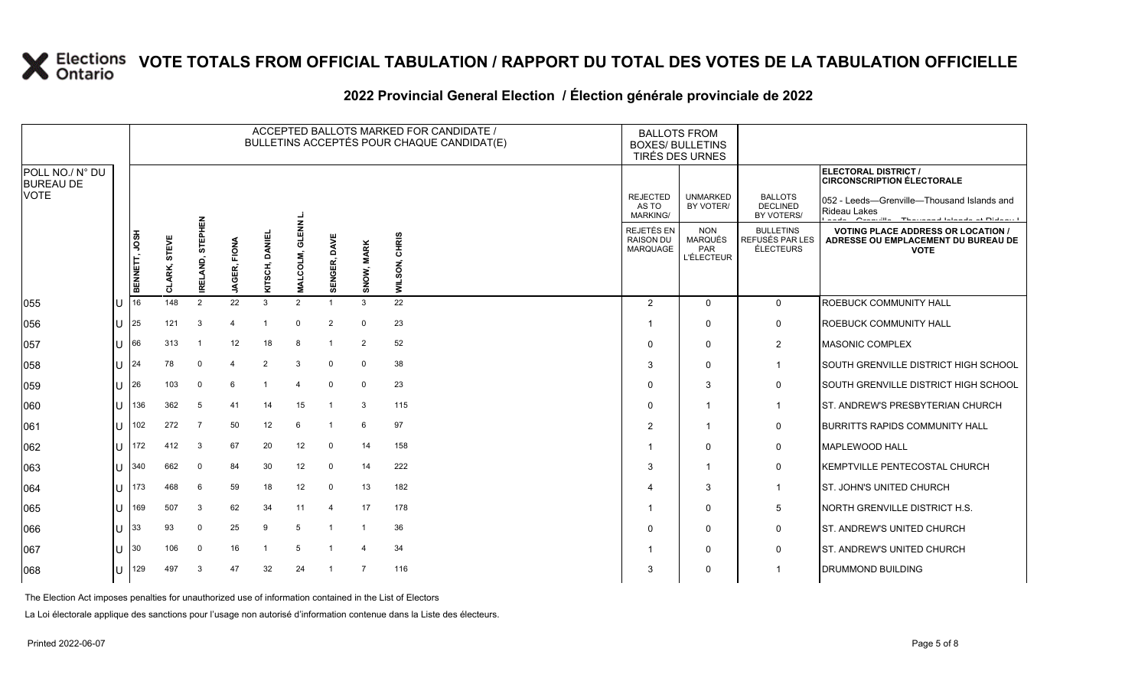#### **2022 Provincial General Election / Élection générale provinciale de 2022**

|                                     |              | ACCEPTED BALLOTS MARKED FOR CANDIDATE /<br>BULLETINS ACCEPTÉS POUR CHAQUE CANDIDAT(E) |                     |                  |                        |                        |                               |                |                |                         |                                                   | <b>BALLOTS FROM</b><br><b>BOXES/ BULLETINS</b><br>TIRÉS DES URNES |                                                  |                                                                                                                                                       |
|-------------------------------------|--------------|---------------------------------------------------------------------------------------|---------------------|------------------|------------------------|------------------------|-------------------------------|----------------|----------------|-------------------------|---------------------------------------------------|-------------------------------------------------------------------|--------------------------------------------------|-------------------------------------------------------------------------------------------------------------------------------------------------------|
| POLL NO./ N° DU<br><b>BUREAU DE</b> |              |                                                                                       |                     |                  |                        |                        |                               |                |                |                         |                                                   |                                                                   |                                                  | <b>ELECTORAL DISTRICT /</b><br><b>CIRCONSCRIPTION ÉLECTORALE</b>                                                                                      |
| <b>VOTE</b>                         |              |                                                                                       |                     |                  |                        |                        |                               |                |                |                         | <b>REJECTED</b><br>AS TO<br>MARKING/              | <b>UNMARKED</b><br>BY VOTER/                                      | <b>BALLOTS</b><br><b>DECLINED</b><br>BY VOTERS/  | 052 - Leeds-Grenville-Thousand Islands and<br>Rideau Lakes<br>$\sim$ $\sim$ $\sim$ $\sim$<br>Conservation of The company of Laborator and Industry of |
|                                     |              | BENNETT, JOSH                                                                         | STEVE<br>LARK,<br>5 | IRELAND, STEPHEN | FIONA<br><b>JAGER,</b> | <b>DANI</b><br>KITSCH, | ؏<br>ಸ<br>COLM,<br><b>NAL</b> | SENGER, DAVE   | SNOW, MARK     | <b>CHRIS</b><br>WILSON, | <b>REJETÉS EN</b><br><b>RAISON DU</b><br>MARQUAGE | <b>NON</b><br><b>MARQUÉS</b><br>PAR<br><b>L'ÉLECTEUR</b>          | <b>BULLETINS</b><br>REFUSÉS PAR LES<br>ÉLECTEURS | <b>VOTING PLACE ADDRESS OR LOCATION /</b><br>ADRESSE OU EMPLACEMENT DU BUREAU DE<br><b>VOTE</b>                                                       |
| 055                                 | U            | 16                                                                                    | 148                 | 2                | 22                     | $\mathbf{3}$           | 2                             |                | 3              | 22                      | 2                                                 | $\Omega$                                                          | $\mathbf{0}$                                     | ROEBUCK COMMUNITY HALL                                                                                                                                |
| 056                                 | ΙU           | 25                                                                                    | 121                 | 3                | Δ                      |                        | $\Omega$                      | $\overline{2}$ | $\Omega$       | 23                      | -1                                                | $\Omega$                                                          | 0                                                | <b>ROEBUCK COMMUNITY HALL</b>                                                                                                                         |
| 057                                 | ΙU           | 66                                                                                    | 313                 |                  | 12                     | 18                     | -8                            |                | 2              | 52                      | $\Omega$                                          | $\mathbf{0}$                                                      | $\overline{2}$                                   | <b>MASONIC COMPLEX</b>                                                                                                                                |
| 058                                 | ΠT           | 24                                                                                    | 78                  | $\mathbf 0$      | 4                      | $\overline{2}$         | -3                            | $\Omega$       | $\Omega$       | 38                      | 3                                                 | $\Omega$                                                          | -1                                               | SOUTH GRENVILLE DISTRICT HIGH SCHOOL                                                                                                                  |
| 059                                 | IП           | 26                                                                                    | 103                 | $\mathbf 0$      | 6                      |                        | $\overline{\mathbf{4}}$       | $\mathbf 0$    | $\Omega$       | 23                      | $\Omega$                                          | 3                                                                 | 0                                                | SOUTH GRENVILLE DISTRICT HIGH SCHOOL                                                                                                                  |
| 060                                 | IU           | 136                                                                                   | 362                 | 5                | 41                     | 14                     | 15                            |                | 3              | 115                     | $\Omega$                                          | $\mathbf{1}$                                                      | -1                                               | ST. ANDREW'S PRESBYTERIAN CHURCH                                                                                                                      |
| 061                                 | IП           | 102                                                                                   | 272                 | $\overline{7}$   | 50                     | 12                     | 6                             | -1             | 6              | 97                      | $\overline{2}$                                    | $\mathbf{1}$                                                      | 0                                                | <b>BURRITTS RAPIDS COMMUNITY HALL</b>                                                                                                                 |
| 062                                 | ΙU           | 172                                                                                   | 412                 | 3                | 67                     | 20                     | 12                            | $\mathbf 0$    | 14             | 158                     |                                                   | $\mathbf{0}$                                                      | 0                                                | <b>MAPLEWOOD HALL</b>                                                                                                                                 |
| 063                                 | IП           | 340                                                                                   | 662                 | $\Omega$         | 84                     | 30                     | 12                            | $\mathbf 0$    | 14             | 222                     | 3                                                 | $\mathbf{1}$                                                      | $\mathbf 0$                                      | KEMPTVILLE PENTECOSTAL CHURCH                                                                                                                         |
| 064                                 | IП           | 173                                                                                   | 468                 | 6                | 59                     | 18                     | 12                            | $\mathbf 0$    | 13             | 182                     |                                                   | 3                                                                 | $\mathbf{1}$                                     | ST. JOHN'S UNITED CHURCH                                                                                                                              |
| 065                                 | $\mathbf{U}$ | 169                                                                                   | 507                 | 3                | 62                     | 34                     | 11                            | 4              | 17             | 178                     |                                                   | $\mathbf{0}$                                                      | 5                                                | NORTH GRENVILLE DISTRICT H.S.                                                                                                                         |
| 066                                 | IП           | 33                                                                                    | 93                  | $\Omega$         | 25                     | 9                      | -5                            |                |                | 36                      | $\Omega$                                          | $\Omega$                                                          | 0                                                | <b>IST. ANDREW'S UNITED CHURCH</b>                                                                                                                    |
| 067                                 | ΙU           | 30                                                                                    | 106                 | $\mathbf 0$      | 16                     |                        | -5                            |                |                | 34                      |                                                   | $\Omega$                                                          | 0                                                | ST. ANDREW'S UNITED CHURCH                                                                                                                            |
| 068                                 | U            | 129                                                                                   | 497                 | 3                | 47                     | 32                     | 24                            | $\overline{1}$ | $\overline{7}$ | 116                     | 3                                                 | $\mathbf{0}$                                                      |                                                  | <b>DRUMMOND BUILDING</b>                                                                                                                              |

The Election Act imposes penalties for unauthorized use of information contained in the List of Electors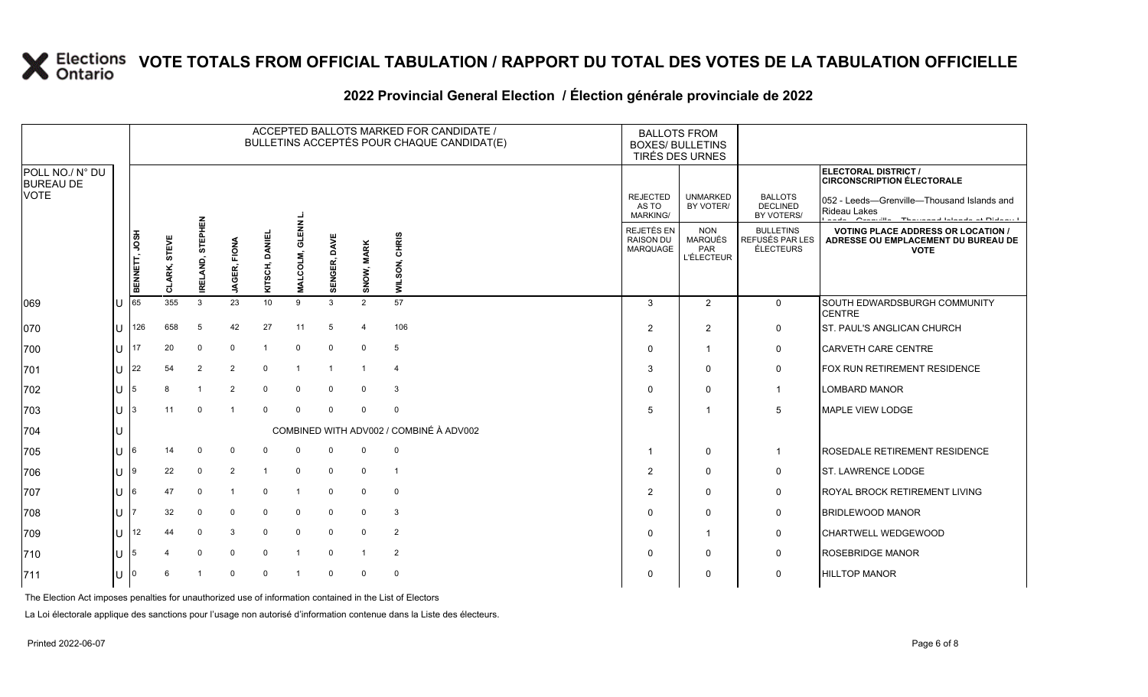#### **2022 Provincial General Election / Élection générale provinciale de 2022**

|                                                    |             | ACCEPTED BALLOTS MARKED FOR CANDIDATE /<br>BULLETINS ACCEPTÉS POUR CHAQUE CANDIDAT(E) |                        |                               |                 |                        |                                |              |                |                                         | <b>BALLOTS FROM</b><br><b>BOXES/ BULLETINS</b><br>TIRÉS DES URNES |                                                   |                                                  |                                                                                                                       |
|----------------------------------------------------|-------------|---------------------------------------------------------------------------------------|------------------------|-------------------------------|-----------------|------------------------|--------------------------------|--------------|----------------|-----------------------------------------|-------------------------------------------------------------------|---------------------------------------------------|--------------------------------------------------|-----------------------------------------------------------------------------------------------------------------------|
| POLL NO./ N° DU<br><b>BUREAU DE</b><br><b>VOTE</b> |             |                                                                                       |                        |                               |                 |                        |                                |              |                |                                         |                                                                   |                                                   |                                                  | ELECTORAL DISTRICT /<br><b>CIRCONSCRIPTION ÉLECTORALE</b>                                                             |
|                                                    |             |                                                                                       |                        | 룹                             |                 |                        |                                |              |                |                                         | <b>REJECTED</b><br>AS TO<br><b>MARKING/</b>                       | <b>UNMARKED</b><br>BY VOTER/                      | <b>BALLOTS</b><br><b>DECLINED</b><br>BY VOTERS/  | 052 - Leeds-Grenville-Thousand Islands and<br>Rideau Lakes<br>and a Constitution Theorem and International Distance I |
|                                                    |             | BENNETT, JOSH                                                                         | STEVE<br><b>CLARK,</b> | <b>STEPHI</b><br>AND,<br>IREL | FIONA<br>JAGER, | <b>DANI</b><br>KITSCH, | $rac{z}{4}$<br>ಕ<br>COLM,<br>Σ | SENGER, DAVE | SNOW, MARK     | CHRIS<br>WILSON,                        | REJETÉS EN<br><b>RAISON DU</b><br>MARQUAGE                        | <b>NON</b><br>MARQUÉS<br>PAR<br><b>L'ÉLECTEUR</b> | <b>BULLETINS</b><br>REFUSÉS PAR LES<br>ÉLECTEURS | <b>VOTING PLACE ADDRESS OR LOCATION /</b><br>ADRESSE OU EMPLACEMENT DU BUREAU DE<br><b>VOTE</b>                       |
| 069                                                | U           | 65                                                                                    | 355                    | 3                             | 23              | 10 <sup>10</sup>       | 9                              | 3            | $\overline{2}$ | 57                                      | 3                                                                 | 2                                                 | $\mathbf 0$                                      | SOUTH EDWARDSBURGH COMMUNITY<br><b>CENTRE</b>                                                                         |
| 070                                                | ΠL          | 126                                                                                   | 658                    | 5                             | 42              | 27                     | 11                             | 5            | $\Delta$       | 106                                     | 2                                                                 | 2                                                 | 0                                                | <b>ST. PAUL'S ANGLICAN CHURCH</b>                                                                                     |
| 700                                                | ΠL          | 17                                                                                    | 20                     | $\mathbf{0}$                  | $\Omega$        |                        | $\Omega$                       | $\mathbf 0$  | 0              | 5                                       | $\Omega$                                                          | $\overline{1}$                                    | 0                                                | <b>CARVETH CARE CENTRE</b>                                                                                            |
| 701                                                | U           | 22                                                                                    | 54                     | 2                             | $\overline{2}$  | $\mathbf 0$            |                                |              |                |                                         | 3                                                                 | $\mathbf{0}$                                      | 0                                                | FOX RUN RETIREMENT RESIDENCE                                                                                          |
| 702                                                | U $\vert$ 5 |                                                                                       | 8                      | -1                            | $\overline{2}$  | 0                      | $\Omega$                       | $\mathbf 0$  | $\mathbf{0}$   | -3                                      | $\Omega$                                                          | $\mathbf{0}$                                      | $\mathbf 1$                                      | <b>LOMBARD MANOR</b>                                                                                                  |
| 703                                                | $11 \mid 3$ |                                                                                       | 11                     | $\mathbf{0}$                  |                 | $\Omega$               | $\Omega$                       | $\Omega$     | $\mathbf 0$    | $\mathbf 0$                             | 5                                                                 |                                                   | 5                                                | MAPLE VIEW LODGE                                                                                                      |
| 704                                                |             |                                                                                       |                        |                               |                 |                        |                                |              |                | COMBINED WITH ADV002 / COMBINÉ À ADV002 |                                                                   |                                                   |                                                  |                                                                                                                       |
| 705                                                | $ U $ 6     |                                                                                       | 14                     | $\mathbf{0}$                  | $\Omega$        | $\Omega$               | $\Omega$                       | 0            | 0              | $\mathbf 0$                             |                                                                   | $\mathbf 0$                                       | $\mathbf 1$                                      | <b>ROSEDALE RETIREMENT RESIDENCE</b>                                                                                  |
| 706                                                | IU 19       |                                                                                       | 22                     | $\mathbf 0$                   | $\overline{2}$  |                        | $\Omega$                       | $\mathbf 0$  | 0              | -1                                      | 2                                                                 | $\mathbf{0}$                                      | 0                                                | <b>ST. LAWRENCE LODGE</b>                                                                                             |
| 707                                                | ΙU          | I6                                                                                    | 47                     | $\Omega$                      |                 | $\Omega$               |                                | $\Omega$     | $\mathbf{0}$   | $\overline{0}$                          | $\overline{2}$                                                    | $\Omega$                                          | 0                                                | <b>ROYAL BROCK RETIREMENT LIVING</b>                                                                                  |
| 708                                                | lU.         |                                                                                       | 32                     | $\mathbf{0}$                  | $\Omega$        | 0                      | $\Omega$                       | 0            | $\mathbf{0}$   | 3                                       | $\Omega$                                                          | $\mathbf{0}$                                      | 0                                                | <b>BRIDLEWOOD MANOR</b>                                                                                               |
| 709                                                | ΠL          | 12                                                                                    | 44                     | $\Omega$                      | 3               | $\mathbf 0$            | $\Omega$                       | $\mathbf 0$  | $\mathbf 0$    | $\overline{2}$                          | $\Omega$                                                          | -1                                                | 0                                                | <b>CHARTWELL WEDGEWOOD</b>                                                                                            |
| 710                                                | U           | 15                                                                                    |                        | $\mathbf 0$                   | $\Omega$        | $\mathbf 0$            | -1                             | $\Omega$     | $\overline{1}$ | $\overline{2}$                          | $\Omega$                                                          | $\mathbf{0}$                                      | 0                                                | <b>ROSEBRIDGE MANOR</b>                                                                                               |
| 711                                                | lU.         |                                                                                       |                        |                               | $\Omega$        | $\Omega$               |                                | $\mathbf 0$  | $\Omega$       | $\overline{0}$                          | $\Omega$                                                          | $\Omega$                                          | 0                                                | <b>HILLTOP MANOR</b>                                                                                                  |

The Election Act imposes penalties for unauthorized use of information contained in the List of Electors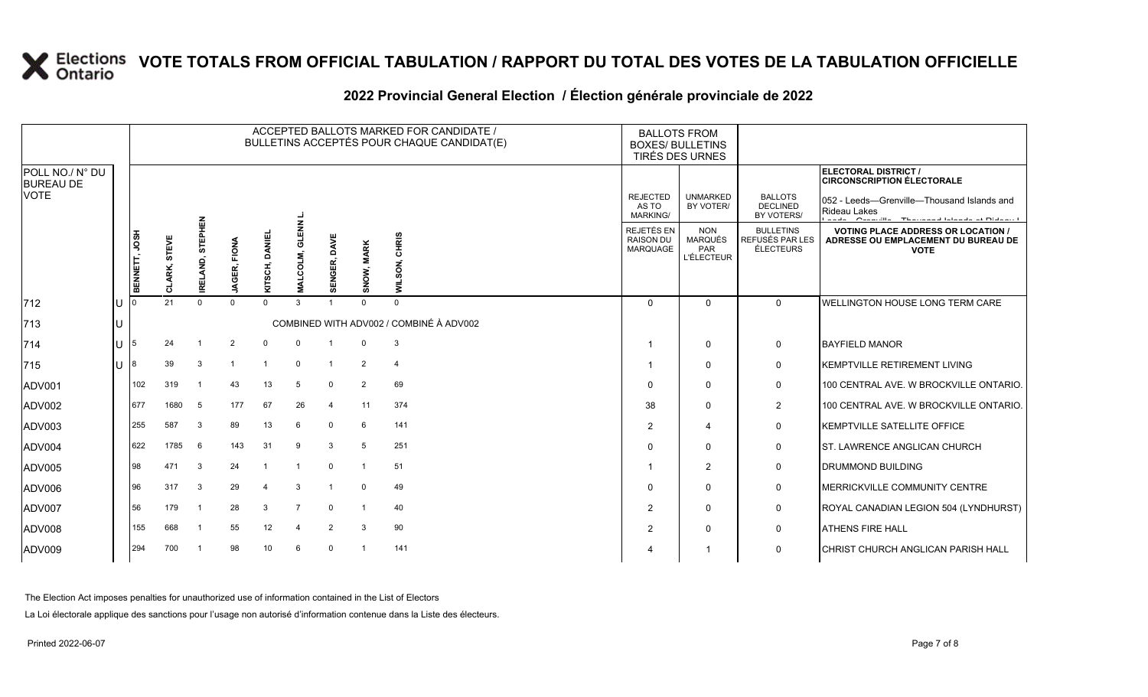### **2022 Provincial General Election / Élection générale provinciale de 2022**

|                                     |    | ACCEPTED BALLOTS MARKED FOR CANDIDATE /<br>BULLETINS ACCEPTÉS POUR CHAQUE CANDIDAT(E) |                     |                  |                        |                |                          |                 |                |                                         |                                                   | <b>BALLOTS FROM</b><br><b>BOXES/ BULLETINS</b><br><b>TIRÉS DES URNES</b> |                                                         |                                                                                                 |
|-------------------------------------|----|---------------------------------------------------------------------------------------|---------------------|------------------|------------------------|----------------|--------------------------|-----------------|----------------|-----------------------------------------|---------------------------------------------------|--------------------------------------------------------------------------|---------------------------------------------------------|-------------------------------------------------------------------------------------------------|
| POLL NO./ N° DU<br><b>BUREAU DE</b> |    |                                                                                       |                     |                  |                        |                |                          |                 |                |                                         |                                                   |                                                                          |                                                         | ELECTORAL DISTRICT /<br><b>CIRCONSCRIPTION ÉLECTORALE</b>                                       |
| <b>VOTE</b>                         |    |                                                                                       |                     |                  |                        |                |                          |                 |                |                                         | <b>REJECTED</b><br>AS TO<br><b>MARKING/</b>       | <b>UNMARKED</b><br>BY VOTER/                                             | <b>BALLOTS</b><br><b>DECLINED</b><br>BY VOTERS/         | 052 - Leeds-Grenville-Thousand Islands and<br>Rideau Lakes                                      |
|                                     |    | BENNETT, JOSH                                                                         | STEVE<br>LARK,<br>5 | IRELAND, STEPHEN | FIONA<br><b>JAGER,</b> | KITSCH, DANIEI | <b>ENN</b><br>COLM,<br>s | DAVE<br>SENGER, | SNOW, MARK     | CHRIS<br><b>WILSON</b>                  | REJETÉS EN<br><b>RAISON DU</b><br><b>MARQUAGE</b> | <b>NON</b><br><b>MARQUÉS</b><br><b>PAR</b><br><b>L'ÉLECTEUR</b>          | <b>BULLETINS</b><br>REFUSÉS PAR LES<br><b>ÉLECTEURS</b> | <b>VOTING PLACE ADDRESS OR LOCATION /</b><br>ADRESSE OU EMPLACEMENT DU BUREAU DE<br><b>VOTE</b> |
| $ 712$                              | Iυ |                                                                                       | 21                  | $\Omega$         | $\Omega$               | $\Omega$       | 3                        |                 | $\Omega$       | $\Omega$                                | $\Omega$                                          | $\Omega$                                                                 | $\Omega$                                                | <b>WELLINGTON HOUSE LONG TERM CARE</b>                                                          |
| 713                                 | lU |                                                                                       |                     |                  |                        |                |                          |                 |                | COMBINED WITH ADV002 / COMBINÉ À ADV002 |                                                   |                                                                          |                                                         |                                                                                                 |
| 714                                 | ΙU | 5                                                                                     | 24                  |                  | 2                      | $\Omega$       |                          |                 |                | 3                                       |                                                   | $\Omega$                                                                 | $\mathbf 0$                                             | <b>BAYFIELD MANOR</b>                                                                           |
| 715                                 | lU |                                                                                       | 39                  | 3                | -1                     | $\overline{1}$ | $\Omega$                 | $\overline{1}$  | $\overline{2}$ | $\overline{4}$                          |                                                   | 0                                                                        | $\mathbf 0$                                             | KEMPTVILLE RETIREMENT LIVING                                                                    |
| ADV001                              |    | 102                                                                                   | 319                 |                  | 43                     | 13             | 5                        | $\mathbf 0$     | 2              | 69                                      | $\Omega$                                          | 0                                                                        | $\mathbf 0$                                             | 100 CENTRAL AVE. W BROCKVILLE ONTARIO.                                                          |
| ADV002                              |    | 677                                                                                   | 1680                | -5               | 177                    | 67             | 26                       | $\overline{4}$  | 11             | 374                                     | 38                                                | 0                                                                        | $\overline{2}$                                          | 100 CENTRAL AVE. W BROCKVILLE ONTARIO.                                                          |
| ADV003                              |    | 255                                                                                   | 587                 | 3                | 89                     | 13             | 6                        | $\mathbf 0$     | 6              | 141                                     | $\overline{2}$                                    | $\boldsymbol{\Delta}$                                                    | $\mathbf 0$                                             | KEMPTVILLE SATELLITE OFFICE                                                                     |
| ADV004                              |    | 622                                                                                   | 1785                | 6                | 143                    | 31             | 9                        | 3               | 5              | 251                                     | $\Omega$                                          | $\Omega$                                                                 | $\mathbf 0$                                             | <b>ST. LAWRENCE ANGLICAN CHURCH</b>                                                             |
| ADV005                              |    | 98                                                                                    | 471                 | 3                | 24                     |                |                          | $\mathbf 0$     |                | 51                                      |                                                   | 2                                                                        | $\mathbf 0$                                             | <b>DRUMMOND BUILDING</b>                                                                        |
| ADV006                              |    | 96                                                                                    | 317                 | 3                | 29                     | 4              | 3                        |                 | $\Omega$       | 49                                      | $\mathbf 0$                                       | $\Omega$                                                                 | $\mathbf 0$                                             | MERRICKVILLE COMMUNITY CENTRE                                                                   |
| ADV007                              |    | 56                                                                                    | 179                 | -1               | 28                     | 3              | $\overline{7}$           | $\Omega$        |                | 40                                      | 2                                                 | $\Omega$                                                                 | $\mathbf 0$                                             | ROYAL CANADIAN LEGION 504 (LYNDHURST)                                                           |
| ADV008                              |    | 155                                                                                   | 668                 |                  | 55                     | 12             | $\overline{a}$           | 2               | 3              | 90                                      | 2                                                 | 0                                                                        | $\mathbf 0$                                             | <b>ATHENS FIRE HALL</b>                                                                         |
| ADV009                              |    | 294                                                                                   | 700                 |                  | 98                     | 10             | 6                        | $\Omega$        |                | 141                                     | $\boldsymbol{\varDelta}$                          |                                                                          | $\mathbf 0$                                             | CHRIST CHURCH ANGLICAN PARISH HALL                                                              |

The Election Act imposes penalties for unauthorized use of information contained in the List of Electors